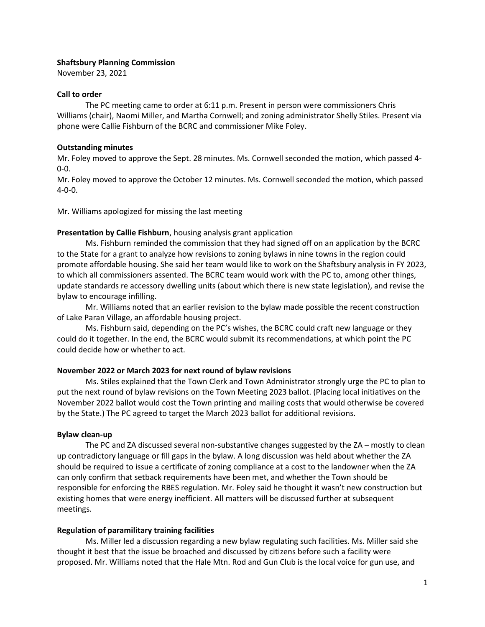#### **Shaftsbury Planning Commission**

November 23, 2021

## **Call to order**

The PC meeting came to order at 6:11 p.m. Present in person were commissioners Chris Williams (chair), Naomi Miller, and Martha Cornwell; and zoning administrator Shelly Stiles. Present via phone were Callie Fishburn of the BCRC and commissioner Mike Foley.

## **Outstanding minutes**

Mr. Foley moved to approve the Sept. 28 minutes. Ms. Cornwell seconded the motion, which passed 4- 0-0.

Mr. Foley moved to approve the October 12 minutes. Ms. Cornwell seconded the motion, which passed 4-0-0.

Mr. Williams apologized for missing the last meeting

## **Presentation by Callie Fishburn**, housing analysis grant application

Ms. Fishburn reminded the commission that they had signed off on an application by the BCRC to the State for a grant to analyze how revisions to zoning bylaws in nine towns in the region could promote affordable housing. She said her team would like to work on the Shaftsbury analysis in FY 2023, to which all commissioners assented. The BCRC team would work with the PC to, among other things, update standards re accessory dwelling units (about which there is new state legislation), and revise the bylaw to encourage infilling.

Mr. Williams noted that an earlier revision to the bylaw made possible the recent construction of Lake Paran Village, an affordable housing project.

Ms. Fishburn said, depending on the PC's wishes, the BCRC could craft new language or they could do it together. In the end, the BCRC would submit its recommendations, at which point the PC could decide how or whether to act.

# **November 2022 or March 2023 for next round of bylaw revisions**

Ms. Stiles explained that the Town Clerk and Town Administrator strongly urge the PC to plan to put the next round of bylaw revisions on the Town Meeting 2023 ballot. (Placing local initiatives on the November 2022 ballot would cost the Town printing and mailing costs that would otherwise be covered by the State.) The PC agreed to target the March 2023 ballot for additional revisions.

# **Bylaw clean-up**

The PC and ZA discussed several non-substantive changes suggested by the ZA – mostly to clean up contradictory language or fill gaps in the bylaw. A long discussion was held about whether the ZA should be required to issue a certificate of zoning compliance at a cost to the landowner when the ZA can only confirm that setback requirements have been met, and whether the Town should be responsible for enforcing the RBES regulation. Mr. Foley said he thought it wasn't new construction but existing homes that were energy inefficient. All matters will be discussed further at subsequent meetings.

#### **Regulation of paramilitary training facilities**

Ms. Miller led a discussion regarding a new bylaw regulating such facilities. Ms. Miller said she thought it best that the issue be broached and discussed by citizens before such a facility were proposed. Mr. Williams noted that the Hale Mtn. Rod and Gun Club is the local voice for gun use, and